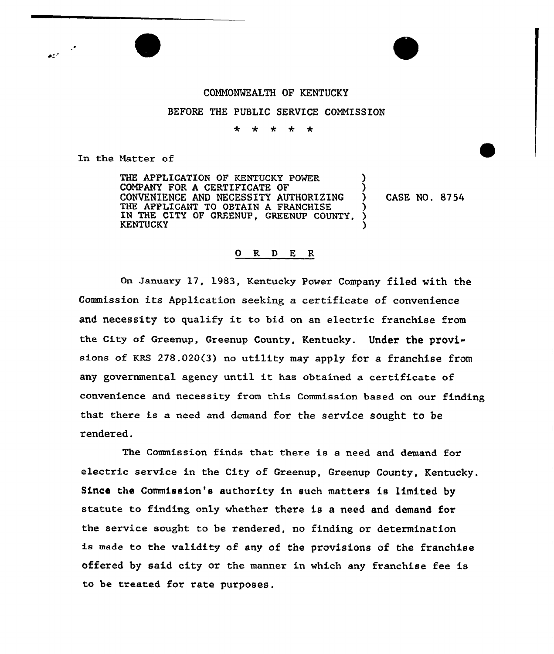## COMMONMEALTH OF KENTUCKY

## BEFORE THE PUBLIC SERVICE CONNISSION

## $\star$  $\star$  $\ddot{\mathbf{r}}$  $\star$

In the Natter of

THE APPLICATION OF KENTUCKY POWER CONPANY FOR A CERTIFICATE OF CONVENIENCE AND NECESSITY AUTHORIZING THE APPLICANT TO OBTAIN A FRANCHISE IN THE CITY OF GREENUP, GREENUP COUNTY, KENTUCKY ) ) ) ) )

) CASE NO. 8754

## O R D E R

On January 17, 1983, Kentucky Power Company filed with the Commission its Application seeking a certificate of convenience and necessity to qualify it to bid on an electric franchise from the City of Greenup, Greenup County, Kentucky. Under the provisions of KRS  $278.020(3)$  no utility may apply for a franchise from any governmental agency until it has obtained <sup>a</sup> cextificate of convenience and necessity from this Commission based on our finding that there is a need and demand for the service sought to be rendered.

The Commission finds that there is a need and demand for electric service in the City of Greenup, Greenup County, Kentucky. Since the Commission's authority in such matters is limited by statute to finding only whether there is a need and demand for the service sought to be rendered, no finding or determination is made to the validity of any of the provisions of the franchise offered by said city or the manner in which any franchise fee is to be txeated for rate purposes.

فرمط